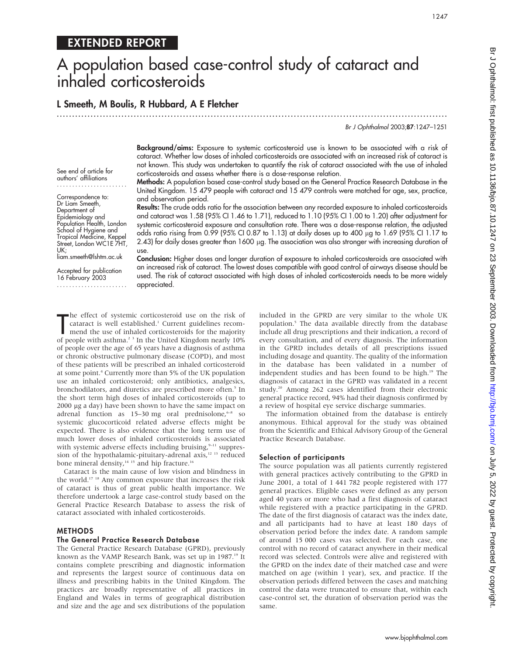## EXTENDED REPORT

# A population based case-control study of cataract and inhaled corticosteroids

### L Smeeth, M Boulis, R Hubbard, A E Fletcher

.............................................................................................................................. .

Br J Ophthalmol 2003;87:1247–1251

See end of article for authors' affiliations ....................... Correspondence to: Dr Liam Smeeth, Department of Epidemiology and Population Health, London School of Hygiene and Tropical Medicine, Keppel Street, London WC1E 7HT, UK; liam.smeeth@lshtm.ac.uk

> Accepted for publication 16 February 2003

.......................

Background/aims: Exposure to systemic corticosteroid use is known to be associated with a risk of cataract. Whether low doses of inhaled corticosteroids are associated with an increased risk of cataract is not known. This study was undertaken to quantify the risk of cataract associated with the use of inhaled corticosteroids and assess whether there is a dose-response relation.

Methods: A population based case-control study based on the General Practice Research Database in the United Kingdom. 15 479 people with cataract and 15 479 controls were matched for age, sex, practice, and observation period.

Results: The crude odds ratio for the association between any recorded exposure to inhaled corticosteroids and cataract was 1.58 (95% CI 1.46 to 1.71), reduced to 1.10 (95% CI 1.00 to 1.20) after adjustment for systemic corticosteroid exposure and consultation rate. There was a dose-response relation, the adjusted odds ratio rising from 0.99 (95% CI 0.87 to 1.13) at daily doses up to 400  $\mu$ g to 1.69 (95% CI 1.17 to 2.43) for daily doses greater than 1600 µg. The association was also stronger with increasing duration of use.

Conclusion: Higher doses and longer duration of exposure to inhaled corticosteroids are associated with an increased risk of cataract. The lowest doses compatible with good control of airways disease should be used. The risk of cataract associated with high doses of inhaled corticosteroids needs to be more widely appreciated.

The effect of systemic corticosteroid use on the risk of cataract is well established.<sup>1</sup> Current guidelines recommend the use of inhaled corticosteroids for the majority of people with asthma.<sup>2 3</sup> In the United Kingdom n he effect of systemic corticosteroid use on the risk of cataract is well established.<sup>1</sup> Current guidelines recommend the use of inhaled corticosteroids for the majority of people over the age of 65 years have a diagnosis of asthma or chronic obstructive pulmonary disease (COPD), and most of these patients will be prescribed an inhaled corticosteroid at some point.4 Currently more than 5% of the UK population use an inhaled corticosteroid; only antibiotics, analgesics, bronchodilators, and diuretics are prescribed more often.<sup>5</sup> In the short term high doses of inhaled corticosteroids (up to 2000 mg a day) have been shown to have the same impact on adrenal function as  $15-30$  mg oral prednisolone, $6-8$  so systemic glucocorticoid related adverse effects might be expected. There is also evidence that the long term use of much lower doses of inhaled corticosteroids is associated with systemic adverse effects including bruising, $9-11$  suppression of the hypothalamic-pituitary-adrenal axis,<sup>12 13</sup> reduced bone mineral density,<sup>14 15</sup> and hip fracture.<sup>16</sup>

Cataract is the main cause of low vision and blindness in the world.17 18 Any common exposure that increases the risk of cataract is thus of great public health importance. We therefore undertook a large case-control study based on the General Practice Research Database to assess the risk of cataract associated with inhaled corticosteroids.

#### METHODS

#### The General Practice Research Database

The General Practice Research Database (GPRD), previously known as the VAMP Research Bank, was set up in 1987.<sup>19</sup> It contains complete prescribing and diagnostic information and represents the largest source of continuous data on illness and prescribing habits in the United Kingdom. The practices are broadly representative of all practices in England and Wales in terms of geographical distribution and size and the age and sex distributions of the population included in the GPRD are very similar to the whole UK population.5 The data available directly from the database include all drug prescriptions and their indication, a record of every consultation, and of every diagnosis. The information in the GPRD includes details of all prescriptions issued including dosage and quantity. The quality of the information in the database has been validated in a number of independent studies and has been found to be high.<sup>19</sup> The diagnosis of cataract in the GPRD was validated in a recent study.20 Among 262 cases identified from their electronic general practice record, 94% had their diagnosis confirmed by a review of hospital eye service discharge summaries.

The information obtained from the database is entirely anonymous. Ethical approval for the study was obtained from the Scientific and Ethical Advisory Group of the General Practice Research Database.

#### Selection of participants

The source population was all patients currently registered with general practices actively contributing to the GPRD in June 2001, a total of 1 441 782 people registered with 177 general practices. Eligible cases were defined as any person aged 40 years or more who had a first diagnosis of cataract while registered with a practice participating in the GPRD. The date of the first diagnosis of cataract was the index date, and all participants had to have at least 180 days of observation period before the index date. A random sample of around 15 000 cases was selected. For each case, one control with no record of cataract anywhere in their medical record was selected. Controls were alive and registered with the GPRD on the index date of their matched case and were matched on age (within 1 year), sex, and practice. If the observation periods differed between the cases and matching control the data were truncated to ensure that, within each case-control set, the duration of observation period was the same.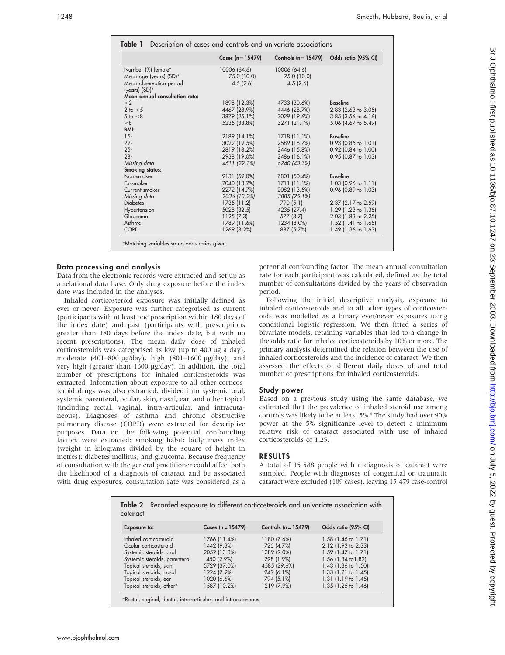|                                | Cases $(n = 15479)$ | Controls $(n = 15479)$ | Odds ratio (95% CI)   |
|--------------------------------|---------------------|------------------------|-----------------------|
| Number (%) female*             | 10006 (64.6)        | 10006 (64.6)           |                       |
| Mean age (years) (SD)*         | 75.0 (10.0)         | 75.0 (10.0)            |                       |
| Mean observation period        | 4.5(2.6)            | 4.5(2.6)               |                       |
| (years) (SD)*                  |                     |                        |                       |
| Mean annual consultation rate: |                     |                        |                       |
| $\leq$ 2                       | 1898 (12.3%)        | 4733 (30.6%)           | <b>Baseline</b>       |
| 2 to $<$ 5                     | 4467 (28.9%)        | 4446 (28.7%)           | 2.83 (2.63 to 3.05)   |
| $5$ to $< 8$                   | 3879 (25.1%)        | 3029 (19.6%)           | 3.85 (3.56 to 4.16)   |
| $\geq 8$                       | 5235 (33.8%)        | 3271 (21.1%)           | 5.06 (4.67 to 5.49)   |
| BMI:                           |                     |                        |                       |
| $15 -$                         | 2189 (14.1%)        | 1718 (11.1%)           | <b>Baseline</b>       |
| $22 -$                         | 3022 (19.5%)        | 2589 (16.7%)           | $0.93$ (0.85 to 1.01) |
| $25 -$                         | 2819 (18.2%)        | 2446 (15.8%)           | 0.92 (0.84 to 1.00)   |
| $28 -$                         | 2938 (19.0%)        | 2486 (16.1%)           | $0.95$ (0.87 to 1.03) |
| Missing data                   | 4511 (29.1%)        | 6240 (40.3%)           |                       |
| <b>Smoking status:</b>         |                     |                        |                       |
| Non-smoker                     | 9131 (59.0%)        | 7801 (50.4%)           | Baseline              |
| Ex-smoker                      | 2040 (13.2%)        | 1711 (11.1%)           | 1.03 (0.96 to 1.11)   |
| Current smoker                 | 2272 (14.7%)        | 2082 (13.5%)           | 0.96 (0.89 to 1.03)   |
| Missing data                   | 2036 (13.2%)        | 3885 (25.1%)           |                       |
| <b>Diabetes</b>                | 1735 (11.2)         | 790 (5.1)              | 2.37 (2.17 to 2.59)   |
| Hypertension                   | 5028 (32.5)         | 4235 (27.4)            | 1.29 (1.23 to 1.35)   |
| Glaucoma                       | 1125 (7.3)          | 577 (3.7)              | 2.03 (1.83 to 2.25)   |
| Asthma                         | 1789 (11.6%)        | 1234 (8.0%)            | $1.52$ (1.41 to 1.65) |
| <b>COPD</b>                    | 1269 (8.2%)         | 887 (5.7%)             | 1.49 (1.36 to 1.63)   |

#### Data processing and analysis

Data from the electronic records were extracted and set up as a relational data base. Only drug exposure before the index date was included in the analyses.

Inhaled corticosteroid exposure was initially defined as ever or never. Exposure was further categorised as current (participants with at least one prescription within 180 days of the index date) and past (participants with prescriptions greater than 180 days before the index date, but with no recent prescriptions). The mean daily dose of inhaled corticosteroids was categorised as low (up to 400 µg a day), moderate  $(401-800 \mu g/day)$ , high  $(801-1600 \mu g/day)$ , and very high (greater than 1600 µg/day). In addition, the total number of prescriptions for inhaled corticosteroids was extracted. Information about exposure to all other corticosteroid drugs was also extracted, divided into systemic oral, systemic parenteral, ocular, skin, nasal, ear, and other topical (including rectal, vaginal, intra-articular, and intracutaneous). Diagnoses of asthma and chronic obstructive pulmonary disease (COPD) were extracted for descriptive purposes. Data on the following potential confounding factors were extracted: smoking habit; body mass index (weight in kilograms divided by the square of height in metres); diabetes mellitus; and glaucoma. Because frequency of consultation with the general practitioner could affect both the likelihood of a diagnosis of cataract and be associated with drug exposures, consultation rate was considered as a potential confounding factor. The mean annual consultation rate for each participant was calculated, defined as the total number of consultations divided by the years of observation period.

Following the initial descriptive analysis, exposure to inhaled corticosteroids and to all other types of corticosteroids was modelled as a binary ever/never exposures using conditional logistic regression. We then fitted a series of bivariate models, retaining variables that led to a change in the odds ratio for inhaled corticosteroids by 10% or more. The primary analysis determined the relation between the use of inhaled corticosteroids and the incidence of cataract. We then assessed the effects of different daily doses of and total number of prescriptions for inhaled corticosteroids.

#### Study power

Based on a previous study using the same database, we estimated that the prevalence of inhaled steroid use among controls was likely to be at least 5%.<sup>5</sup> The study had over 90% power at the 5% significance level to detect a minimum relative risk of cataract associated with use of inhaled corticosteroids of 1.25.

#### RESULTS

A total of 15 588 people with a diagnosis of cataract were sampled. People with diagnoses of congenital or traumatic cataract were excluded (109 cases), leaving 15 479 case-control

| <b>Exposure to:</b>           | Cases $(n = 15479)$ | Controls $(n = 15479)$ | Odds ratio (95% CI)            |  |
|-------------------------------|---------------------|------------------------|--------------------------------|--|
|                               |                     |                        |                                |  |
| Inhaled corticosteroid        | 1766 (11.4%)        | 1180 (7.6%)            | 1.58 (1.46 to 1.71)            |  |
| Ocular corticosteroid         | 1442 (9.3%)         | 725 (4.7%)             | 2.12 (1.93 to 2.33)            |  |
| Systemic steroids, oral       | 2052 (13.3%)        | 1389 (9.0%)            | 1.59 (1.47 to 1.71)            |  |
| Systemic steroids, parenteral | 450 (2.9%)          | 298 (1.9%)             | 1.56 (1.34 to 1.82)            |  |
| Topical steroids, skin        | 5729 (37.0%)        | 4585 (29.6%)           | 1.43 (1.36 to 1.50)            |  |
| Topical steroids, nasal       | 1224 (7.9%)         | 949 (6.1%)             | 1.33 (1.21 to 1.45)            |  |
| Topical steroids, ear         | 1020 (6.6%)         | 794 (5.1%)             | 1.31 $(1.19 \text{ to } 1.45)$ |  |
| Topical steroids, other*      | 1587 (10.2%)        | 1219 (7.9%)            | 1.35 (1.25 to 1.46)            |  |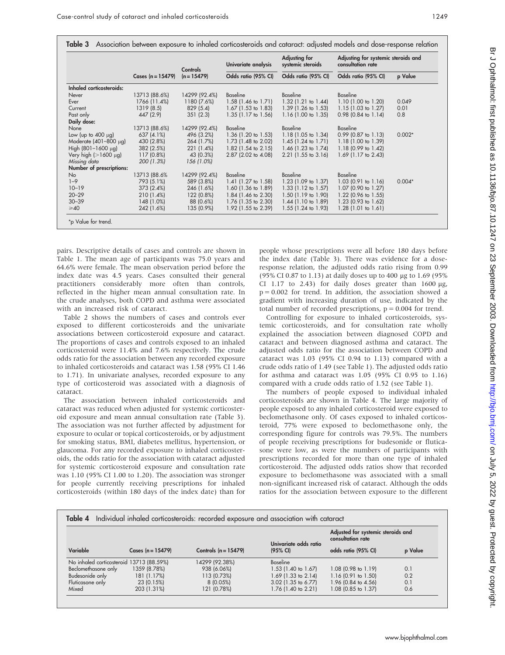|                            | Cases $(n = 15479)$ | Controls<br>$(n = 15479)$ | Univariate analysis            | Adjusting for<br>systemic steroids | Adjusting for systemic steroids and<br>consultation rate |          |
|----------------------------|---------------------|---------------------------|--------------------------------|------------------------------------|----------------------------------------------------------|----------|
|                            |                     |                           | Odds ratio (95% CI)            | Odds ratio (95% CI)                | Odds ratio (95% CI)                                      | p Value  |
| Inhaled corticosteroids:   |                     |                           |                                |                                    |                                                          |          |
| Never                      | 13713 (88.6%)       | 14299 (92.4%)             | Baseline                       | Baseline                           | Baseline                                                 |          |
| Ever                       | 1766 (11.4%)        | 1180 (7.6%)               | $1.58$ (1.46 to 1.71)          | $1.32$ (1.21 to 1.44)              | $1.10$ (1.00 to 1.20)                                    | 0.049    |
| Current                    | 1319(8.5)           | 829(5.4)                  | $1.67$ (1.53 to 1.83)          | $1.39$ (1.26 to 1.53)              | $1.15(1.03 \text{ to } 1.27)$                            | 0.01     |
| Past only                  | 447 (2.9)           | 351(2.3)                  | $1.35$ (1.17 to 1.56)          | $1.16$ (1.00 to 1.35)              | $0.98$ (0.84 to 1.14)                                    | 0.8      |
| Daily dose:                |                     |                           |                                |                                    |                                                          |          |
| None                       | 13713 (88.6%)       | 14299 (92.4%)             | Baseline                       | Baseline                           | Baseline                                                 |          |
| Low (up to $400 \mu g$ )   | 637 (4.1%)          | 496 (3.2%)                | $1.36$ (1.20 to 1.53)          | $1.18$ (1.05 to 1.34)              | $0.99$ (0.87 to 1.13)                                    | $0.002*$ |
| Moderate $(401-800 \mu g)$ | 430 (2.8%)          | 264 (1.7%)                | 1.73 $(1.48 \text{ to } 2.02)$ | 1.45 $(1.24 \text{ to } 1.71)$     | $1.18$ (1.00 to 1.39)                                    |          |
| High $(801-1600 \mu g)$    | 382 (2.5%)          | 221(1.4%)                 | $1.82$ (1.54 to 2.15)          | $1.46$ (1.23 to 1.74)              | $1.18$ (0.99 to 1.42)                                    |          |
| Very high ( $>1600 \mu$ g) | $117(0.8\%)$        | 43 (0.3%)                 | $2.87$ (2.02 to 4.08)          | $2.21$ (1.55 to 3.16)              | $1.69$ (1.17 to 2.43)                                    |          |
| Missing data               | 200 (1.3%)          | 156 (1.0%)                |                                |                                    |                                                          |          |
| Number of prescriptions:   |                     |                           |                                |                                    |                                                          |          |
| No                         | 13713 (88.6%)       | 14299 (92.4%)             | Baseline                       | Baseline                           | Baseline                                                 |          |
| $1 - 9$                    | 793 (5.1%)          | 589 (3.8%)                | 1.41 $(1.27 \text{ to } 1.58)$ | 1.23 (1.09 to 1.37)                | $1.03$ (0.91 to 1.16)                                    | $0.004*$ |
| $10 - 19$                  | 373 (2.4%)          | 246 (1.6%)                | $1.60$ (1.36 to 1.89)          | $1.33$ (1.12 to 1.57)              | $1.07$ (0.90 to 1.27)                                    |          |
| $20 - 29$                  | 210 (1.4%)          | 122 (0.8%)                | $1.84$ (1.46 to 2.30)          | $1.50$ (1.19 to 1.90)              | 1.22 $(0.96 \text{ to } 1.55)$                           |          |
| $30 - 39$                  | 148 (1.0%)          | 88 (0.6%)                 | $1.76$ (1.35 to 2.30)          | $1.44$ (1.10 to 1.89)              | 1.23 $(0.93 \text{ to } 1.62)$                           |          |
| $\geq 40$                  | 242 (1.6%)          | 135 (0.9%)                | $1.92$ (1.55 to 2.39)          | $1.55$ (1.24 to 1.93)              | $1.28$ (1.01 to 1.61)                                    |          |

pairs. Descriptive details of cases and controls are shown in Table 1. The mean age of participants was 75.0 years and 64.6% were female. The mean observation period before the index date was 4.5 years. Cases consulted their general practitioners considerably more often than controls, reflected in the higher mean annual consultation rate. In the crude analyses, both COPD and asthma were associated with an increased risk of cataract.

Table 2 shows the numbers of cases and controls ever exposed to different corticosteroids and the univariate associations between corticosteroid exposure and cataract. The proportions of cases and controls exposed to an inhaled corticosteroid were 11.4% and 7.6% respectively. The crude odds ratio for the association between any recorded exposure to inhaled corticosteroids and cataract was 1.58 (95% CI 1.46 to 1.71). In univariate analyses, recorded exposure to any type of corticosteroid was associated with a diagnosis of cataract.

The association between inhaled corticosteroids and cataract was reduced when adjusted for systemic corticosteroid exposure and mean annual consultation rate (Table 3). The association was not further affected by adjustment for exposure to ocular or topical corticosteroids, or by adjustment for smoking status, BMI, diabetes mellitus, hypertension, or glaucoma. For any recorded exposure to inhaled corticosteroids, the odds ratio for the association with cataract adjusted for systemic corticosteroid exposure and consultation rate was 1.10 (95% CI 1.00 to 1.20). The association was stronger for people currently receiving prescriptions for inhaled corticosteroids (within 180 days of the index date) than for people whose prescriptions were all before 180 days before the index date (Table 3). There was evidence for a doseresponse relation, the adjusted odds ratio rising from 0.99 (95% CI 0.87 to 1.13) at daily doses up to 400 mg to 1.69 (95% CI 1.17 to 2.43) for daily doses greater than 1600  $\mu$ g,  $p = 0.002$  for trend. In addition, the association showed a gradient with increasing duration of use, indicated by the total number of recorded prescriptions,  $p = 0.004$  for trend.

 $\sim$   $\sim$ 

Controlling for exposure to inhaled corticosteroids, systemic corticosteroids, and for consultation rate wholly explained the association between diagnosed COPD and cataract and between diagnosed asthma and cataract. The adjusted odds ratio for the association between COPD and cataract was 1.03 (95% CI 0.94 to 1.13) compared with a crude odds ratio of 1.49 (see Table 1). The adjusted odds ratio for asthma and cataract was 1.05 (95% CI 0.95 to 1.16) compared with a crude odds ratio of 1.52 (see Table 1).

The numbers of people exposed to individual inhaled corticosteroids are shown in Table 4. The large majority of people exposed to any inhaled corticosteroid were exposed to beclomethasone only. Of cases exposed to inhaled corticosteroid, 77% were exposed to beclomethasone only, the corresponding figure for controls was 79.5%. The numbers of people receiving prescriptions for budesonide or fluticasone were low, as were the numbers of participants with prescriptions recorded for more than one type of inhaled corticosteroid. The adjusted odds ratios show that recorded exposure to beclomethasone was associated with a small non-significant increased risk of cataract. Although the odds ratios for the association between exposure to the different

| Variable                                 | Cases $(n = 15479)$ | Controls $(n = 15479)$ | Univariate odds ratio<br>$(95% \text{ Cl})$ | Adjusted for systemic steroids and<br>consultation rate |         |
|------------------------------------------|---------------------|------------------------|---------------------------------------------|---------------------------------------------------------|---------|
|                                          |                     |                        |                                             | odds ratio (95% CI)                                     | p Value |
| No inhaled corticosteroid 13713 (88.59%) |                     | 14299 (92.38%)         | <b>Baseline</b>                             |                                                         |         |
| Beclomethasone only                      | 1359 (8.78%)        | 938 (6.06%)            | 1.53 (1.40 to 1.67)                         | 1.08 (0.98 to 1.19)                                     | 0.1     |
| Budesonide only                          | 181 (1.17%)         | 113 (0.73%)            | $1.69$ (1.33 to 2.14)                       | $1.16$ (0.91 to 1.50)                                   | 0.2     |
| Fluticasone only                         | 23 (0.15%)          | 8 (0.05%)              | 3.02 (1.35 to 6.77)                         | 1.96 (0.84 to 4.56)                                     | 0.1     |
| Mixed                                    | 203 (1.31%)         | 121 (0.78%)            | 1.76 (1.40 to 2.21)                         | 1.08 (0.85 to 1.37)                                     | 0.6     |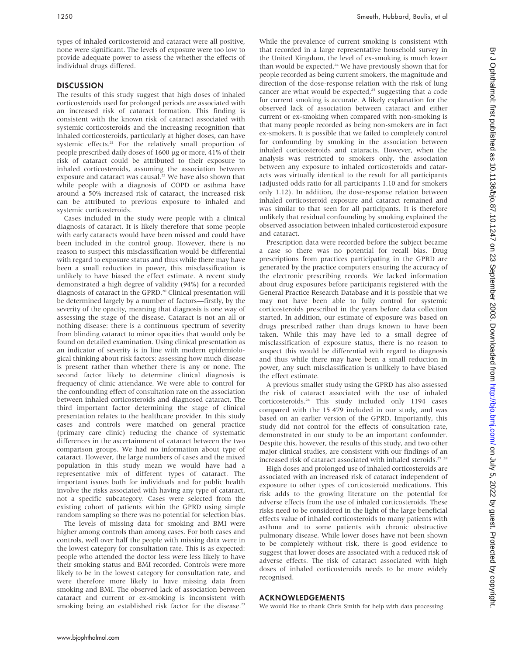types of inhaled corticosteroid and cataract were all positive, none were significant. The levels of exposure were too low to provide adequate power to assess the whether the effects of individual drugs differed.

#### DISCUSSION

The results of this study suggest that high doses of inhaled corticosteroids used for prolonged periods are associated with an increased risk of cataract formation. This finding is consistent with the known risk of cataract associated with systemic corticosteroids and the increasing recognition that inhaled corticosteroids, particularly at higher doses, can have systemic effects.<sup>21</sup> For the relatively small proportion of people prescribed daily doses of 1600 µg or more, 41% of their risk of cataract could be attributed to their exposure to inhaled corticosteroids, assuming the association between exposure and cataract was causal.<sup>22</sup> We have also shown that while people with a diagnosis of COPD or asthma have around a 50% increased risk of cataract, the increased risk can be attributed to previous exposure to inhaled and systemic corticosteroids.

Cases included in the study were people with a clinical diagnosis of cataract. It is likely therefore that some people with early cataracts would have been missed and could have been included in the control group. However, there is no reason to suspect this misclassification would be differential with regard to exposure status and thus while there may have been a small reduction in power, this misclassification is unlikely to have biased the effect estimate. A recent study demonstrated a high degree of validity (94%) for a recorded diagnosis of cataract in the GPRD.<sup>20</sup> Clinical presentation will be determined largely by a number of factors—firstly, by the severity of the opacity, meaning that diagnosis is one way of assessing the stage of the disease. Cataract is not an all or nothing disease: there is a continuous spectrum of severity from blinding cataract to minor opacities that would only be found on detailed examination. Using clinical presentation as an indicator of severity is in line with modern epidemiological thinking about risk factors: assessing how much disease is present rather than whether there is any or none. The second factor likely to determine clinical diagnosis is frequency of clinic attendance. We were able to control for the confounding effect of consultation rate on the association between inhaled corticosteroids and diagnosed cataract. The third important factor determining the stage of clinical presentation relates to the healthcare provider. In this study cases and controls were matched on general practice (primary care clinic) reducing the chance of systematic differences in the ascertainment of cataract between the two comparison groups. We had no information about type of cataract. However, the large numbers of cases and the mixed population in this study mean we would have had a representative mix of different types of cataract. The important issues both for individuals and for public health involve the risks associated with having any type of cataract, not a specific subcategory. Cases were selected from the existing cohort of patients within the GPRD using simple random sampling so there was no potential for selection bias.

The levels of missing data for smoking and BMI were higher among controls than among cases. For both cases and controls, well over half the people with missing data were in the lowest category for consultation rate. This is as expected: people who attended the doctor less were less likely to have their smoking status and BMI recorded. Controls were more likely to be in the lowest category for consultation rate, and were therefore more likely to have missing data from smoking and BMI. The observed lack of association between cataract and current or ex-smoking is inconsistent with smoking being an established risk factor for the disease.<sup>23</sup>

While the prevalence of current smoking is consistent with that recorded in a large representative household survey in the United Kingdom, the level of ex-smoking is much lower than would be expected.<sup>24</sup> We have previously shown that for people recorded as being current smokers, the magnitude and direction of the dose-response relation with the risk of lung cancer are what would be expected.<sup>25</sup> suggesting that a code for current smoking is accurate. A likely explanation for the observed lack of association between cataract and either current or ex-smoking when compared with non-smoking is that many people recorded as being non-smokers are in fact ex-smokers. It is possible that we failed to completely control for confounding by smoking in the association between inhaled corticosteroids and cataracts. However, when the analysis was restricted to smokers only, the association between any exposure to inhaled corticosteroids and cataracts was virtually identical to the result for all participants (adjusted odds ratio for all participants 1.10 and for smokers only 1.12). In addition, the dose-response relation between inhaled corticosteroid exposure and cataract remained and was similar to that seen for all participants. It is therefore unlikely that residual confounding by smoking explained the observed association between inhaled corticosteroid exposure and cataract.

Prescription data were recorded before the subject became a case so there was no potential for recall bias. Drug prescriptions from practices participating in the GPRD are generated by the practice computers ensuring the accuracy of the electronic prescribing records. We lacked information about drug exposures before participants registered with the General Practice Research Database and it is possible that we may not have been able to fully control for systemic corticosteroids prescribed in the years before data collection started. In addition, our estimate of exposure was based on drugs prescribed rather than drugs known to have been taken. While this may have led to a small degree of misclassification of exposure status, there is no reason to suspect this would be differential with regard to diagnosis and thus while there may have been a small reduction in power, any such misclassification is unlikely to have biased the effect estimate.

A previous smaller study using the GPRD has also assessed the risk of cataract associated with the use of inhaled corticosteroids.26 This study included only 1194 cases compared with the 15 479 included in our study, and was based on an earlier version of the GPRD. Importantly, this study did not control for the effects of consultation rate, demonstrated in our study to be an important confounder. Despite this, however, the results of this study, and two other major clinical studies, are consistent with our findings of an increased risk of cataract associated with inhaled steroids.<sup>27</sup> <sup>28</sup>

High doses and prolonged use of inhaled corticosteroids are associated with an increased risk of cataract independent of exposure to other types of corticosteroid medications. This risk adds to the growing literature on the potential for adverse effects from the use of inhaled corticosteroids. These risks need to be considered in the light of the large beneficial effects value of inhaled corticosteroids to many patients with asthma and to some patients with chronic obstructive pulmonary disease. While lower doses have not been shown to be completely without risk, there is good evidence to suggest that lower doses are associated with a reduced risk of adverse effects. The risk of cataract associated with high doses of inhaled corticosteroids needs to be more widely recognised.

#### ACKNOWLEDGEMENTS

We would like to thank Chris Smith for help with data processing.